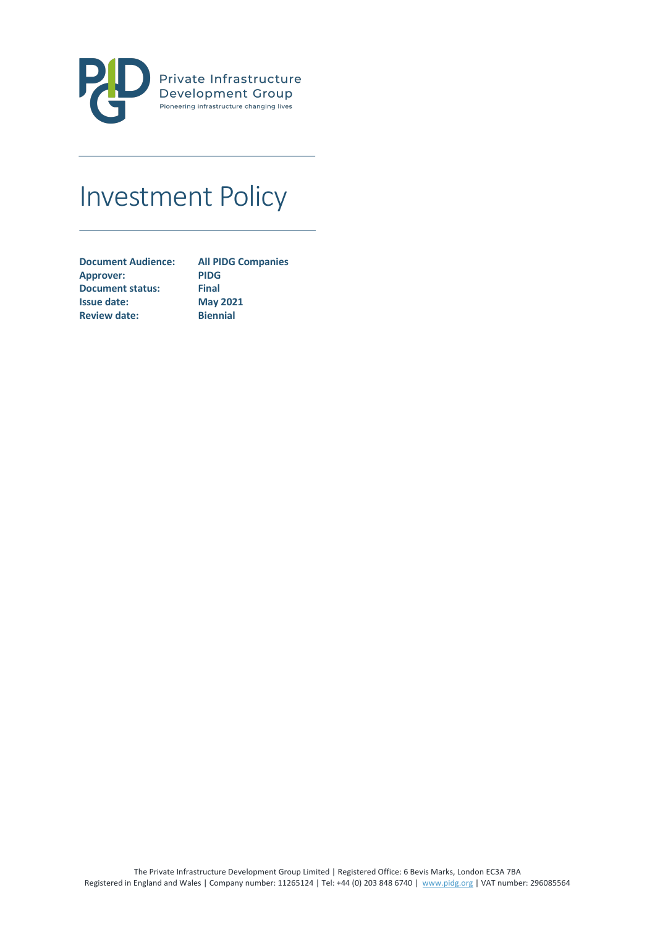

# Investment Policy

| <b>All PIDG Companies</b> |
|---------------------------|
| <b>PIDG</b>               |
| <b>Final</b>              |
| <b>May 2021</b>           |
| <b>Biennial</b>           |
|                           |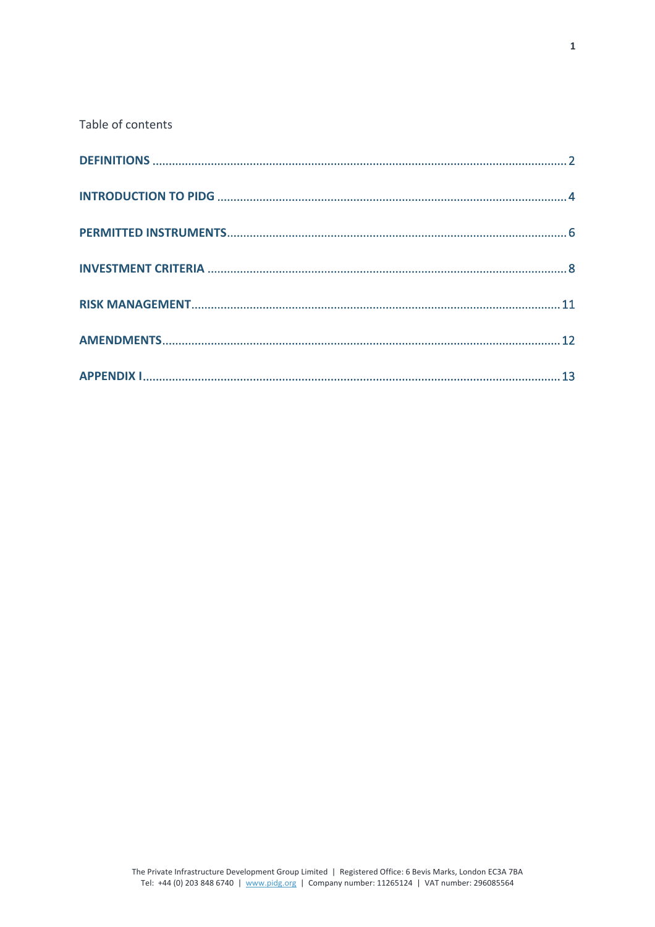Table of contents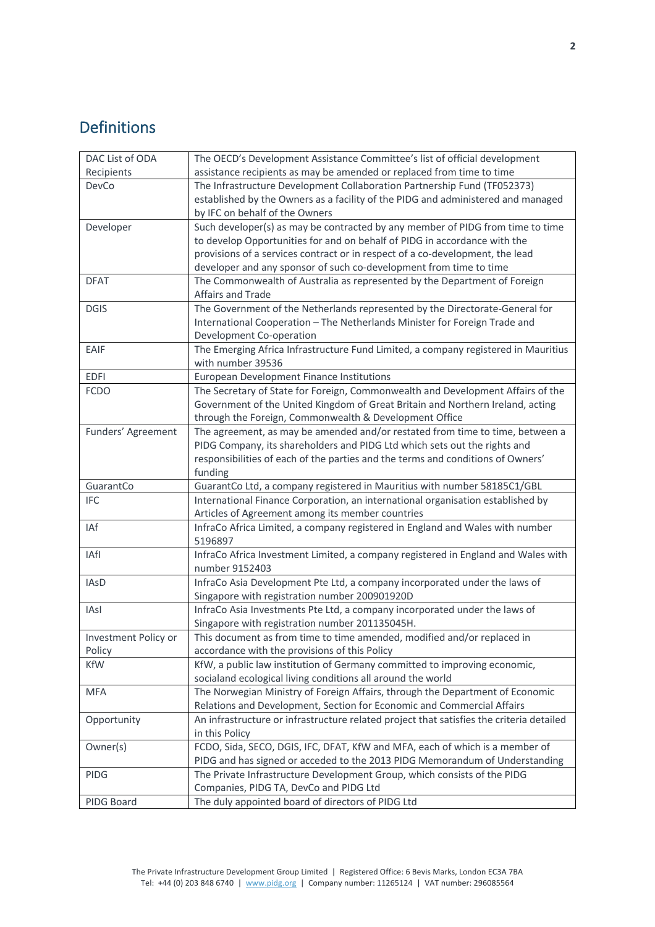# Definitions

| DAC List of ODA      | The OECD's Development Assistance Committee's list of official development                  |  |  |
|----------------------|---------------------------------------------------------------------------------------------|--|--|
| Recipients           | assistance recipients as may be amended or replaced from time to time                       |  |  |
| DevCo                | The Infrastructure Development Collaboration Partnership Fund (TF052373)                    |  |  |
|                      | established by the Owners as a facility of the PIDG and administered and managed            |  |  |
|                      | by IFC on behalf of the Owners                                                              |  |  |
| Developer            | Such developer(s) as may be contracted by any member of PIDG from time to time              |  |  |
|                      | to develop Opportunities for and on behalf of PIDG in accordance with the                   |  |  |
|                      | provisions of a services contract or in respect of a co-development, the lead               |  |  |
|                      | developer and any sponsor of such co-development from time to time                          |  |  |
| <b>DFAT</b>          | The Commonwealth of Australia as represented by the Department of Foreign                   |  |  |
|                      | Affairs and Trade                                                                           |  |  |
| <b>DGIS</b>          | The Government of the Netherlands represented by the Directorate-General for                |  |  |
|                      | International Cooperation - The Netherlands Minister for Foreign Trade and                  |  |  |
|                      | Development Co-operation                                                                    |  |  |
| EAIF                 | The Emerging Africa Infrastructure Fund Limited, a company registered in Mauritius          |  |  |
|                      | with number 39536                                                                           |  |  |
| <b>EDFI</b>          | European Development Finance Institutions                                                   |  |  |
| <b>FCDO</b>          | The Secretary of State for Foreign, Commonwealth and Development Affairs of the             |  |  |
|                      | Government of the United Kingdom of Great Britain and Northern Ireland, acting              |  |  |
|                      | through the Foreign, Commonwealth & Development Office                                      |  |  |
| Funders' Agreement   | The agreement, as may be amended and/or restated from time to time, between a               |  |  |
|                      | PIDG Company, its shareholders and PIDG Ltd which sets out the rights and                   |  |  |
|                      | responsibilities of each of the parties and the terms and conditions of Owners'             |  |  |
|                      | funding                                                                                     |  |  |
| GuarantCo            | GuarantCo Ltd, a company registered in Mauritius with number 58185C1/GBL                    |  |  |
| <b>IFC</b>           | International Finance Corporation, an international organisation established by             |  |  |
|                      | Articles of Agreement among its member countries                                            |  |  |
| IAf                  | InfraCo Africa Limited, a company registered in England and Wales with number               |  |  |
|                      | 5196897                                                                                     |  |  |
| IAfl                 | InfraCo Africa Investment Limited, a company registered in England and Wales with           |  |  |
|                      | number 9152403                                                                              |  |  |
| <b>IAsD</b>          | InfraCo Asia Development Pte Ltd, a company incorporated under the laws of                  |  |  |
|                      |                                                                                             |  |  |
|                      | Singapore with registration number 200901920D                                               |  |  |
| IAsl                 |                                                                                             |  |  |
|                      | InfraCo Asia Investments Pte Ltd, a company incorporated under the laws of                  |  |  |
|                      | Singapore with registration number 201135045H.                                              |  |  |
| Investment Policy or | This document as from time to time amended, modified and/or replaced in                     |  |  |
| Policy<br><b>KfW</b> | accordance with the provisions of this Policy                                               |  |  |
|                      | KfW, a public law institution of Germany committed to improving economic,                   |  |  |
|                      | socialand ecological living conditions all around the world                                 |  |  |
| <b>MFA</b>           | The Norwegian Ministry of Foreign Affairs, through the Department of Economic               |  |  |
|                      | Relations and Development, Section for Economic and Commercial Affairs                      |  |  |
| Opportunity          | An infrastructure or infrastructure related project that satisfies the criteria detailed    |  |  |
|                      | in this Policy                                                                              |  |  |
| Owner(s)             | FCDO, Sida, SECO, DGIS, IFC, DFAT, KfW and MFA, each of which is a member of                |  |  |
|                      | PIDG and has signed or acceded to the 2013 PIDG Memorandum of Understanding                 |  |  |
| <b>PIDG</b>          | The Private Infrastructure Development Group, which consists of the PIDG                    |  |  |
| PIDG Board           | Companies, PIDG TA, DevCo and PIDG Ltd<br>The duly appointed board of directors of PIDG Ltd |  |  |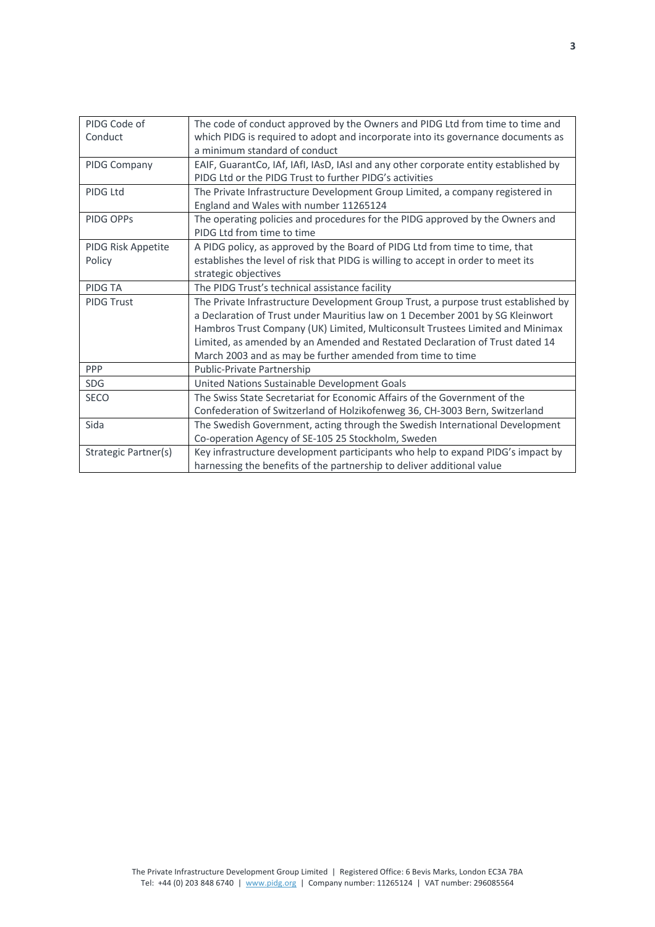| PIDG Code of         | The code of conduct approved by the Owners and PIDG Ltd from time to time and        |  |  |
|----------------------|--------------------------------------------------------------------------------------|--|--|
| Conduct              | which PIDG is required to adopt and incorporate into its governance documents as     |  |  |
|                      | a minimum standard of conduct                                                        |  |  |
| PIDG Company         | EAIF, GuarantCo, IAf, IAfI, IAsD, IAsI and any other corporate entity established by |  |  |
|                      | PIDG Ltd or the PIDG Trust to further PIDG's activities                              |  |  |
| PIDG Ltd             | The Private Infrastructure Development Group Limited, a company registered in        |  |  |
|                      | England and Wales with number 11265124                                               |  |  |
| PIDG OPPs            | The operating policies and procedures for the PIDG approved by the Owners and        |  |  |
|                      | PIDG Ltd from time to time                                                           |  |  |
| PIDG Risk Appetite   | A PIDG policy, as approved by the Board of PIDG Ltd from time to time, that          |  |  |
| Policy               | establishes the level of risk that PIDG is willing to accept in order to meet its    |  |  |
|                      | strategic objectives                                                                 |  |  |
| PIDG TA              | The PIDG Trust's technical assistance facility                                       |  |  |
| <b>PIDG Trust</b>    | The Private Infrastructure Development Group Trust, a purpose trust established by   |  |  |
|                      | a Declaration of Trust under Mauritius law on 1 December 2001 by SG Kleinwort        |  |  |
|                      | Hambros Trust Company (UK) Limited, Multiconsult Trustees Limited and Minimax        |  |  |
|                      | Limited, as amended by an Amended and Restated Declaration of Trust dated 14         |  |  |
|                      | March 2003 and as may be further amended from time to time                           |  |  |
| <b>PPP</b>           | Public-Private Partnership                                                           |  |  |
| <b>SDG</b>           | United Nations Sustainable Development Goals                                         |  |  |
| <b>SECO</b>          | The Swiss State Secretariat for Economic Affairs of the Government of the            |  |  |
|                      | Confederation of Switzerland of Holzikofenweg 36, CH-3003 Bern, Switzerland          |  |  |
| Sida                 | The Swedish Government, acting through the Swedish International Development         |  |  |
|                      | Co-operation Agency of SE-105 25 Stockholm, Sweden                                   |  |  |
| Strategic Partner(s) | Key infrastructure development participants who help to expand PIDG's impact by      |  |  |
|                      | harnessing the benefits of the partnership to deliver additional value               |  |  |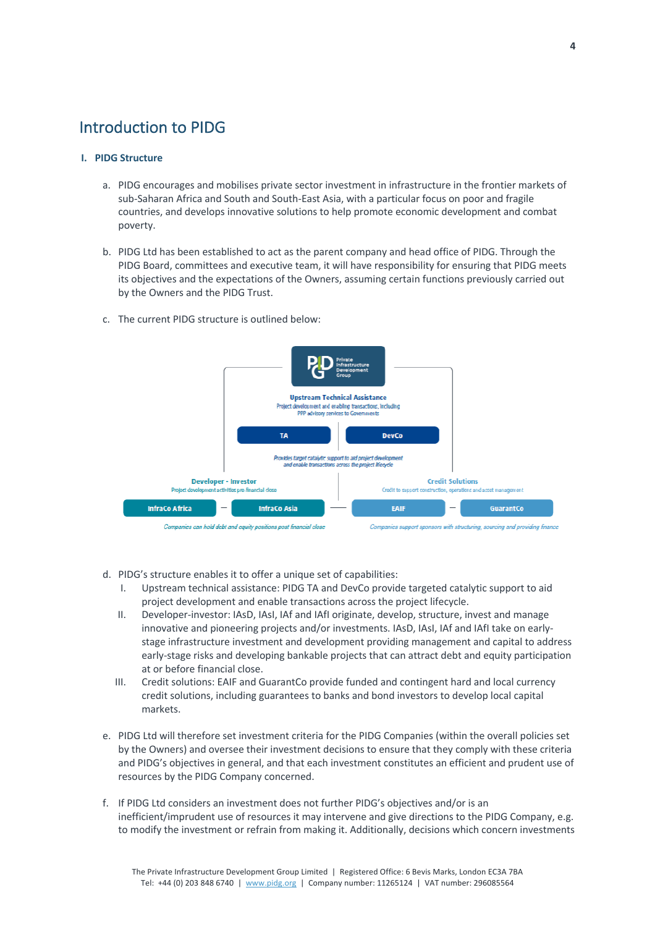### Introduction to PIDG

#### **I. PIDG Structure**

- a. PIDG encourages and mobilises private sector investment in infrastructure in the frontier markets of sub-Saharan Africa and South and South-East Asia, with a particular focus on poor and fragile countries, and develops innovative solutions to help promote economic development and combat poverty.
- b. PIDG Ltd has been established to act as the parent company and head office of PIDG. Through the PIDG Board, committees and executive team, it will have responsibility for ensuring that PIDG meets its objectives and the expectations of the Owners, assuming certain functions previously carried out by the Owners and the PIDG Trust.
- c. The current PIDG structure is outlined below:



- d. PIDG's structure enables it to offer a unique set of capabilities:
	- I. Upstream technical assistance: PIDG TA and DevCo provide targeted catalytic support to aid project development and enable transactions across the project lifecycle.
	- II. Developer-investor: IAsD, IAsI, IAf and IAfI originate, develop, structure, invest and manage innovative and pioneering projects and/or investments. IAsD, IAsI, IAf and IAfI take on earlystage infrastructure investment and development providing management and capital to address early-stage risks and developing bankable projects that can attract debt and equity participation at or before financial close.
	- III. Credit solutions: EAIF and GuarantCo provide funded and contingent hard and local currency credit solutions, including guarantees to banks and bond investors to develop local capital markets.
- e. PIDG Ltd will therefore set investment criteria for the PIDG Companies (within the overall policies set by the Owners) and oversee their investment decisions to ensure that they comply with these criteria and PIDG's objectives in general, and that each investment constitutes an efficient and prudent use of resources by the PIDG Company concerned.
- f. If PIDG Ltd considers an investment does not further PIDG's objectives and/or is an inefficient/imprudent use of resources it may intervene and give directions to the PIDG Company, e.g. to modify the investment or refrain from making it. Additionally, decisions which concern investments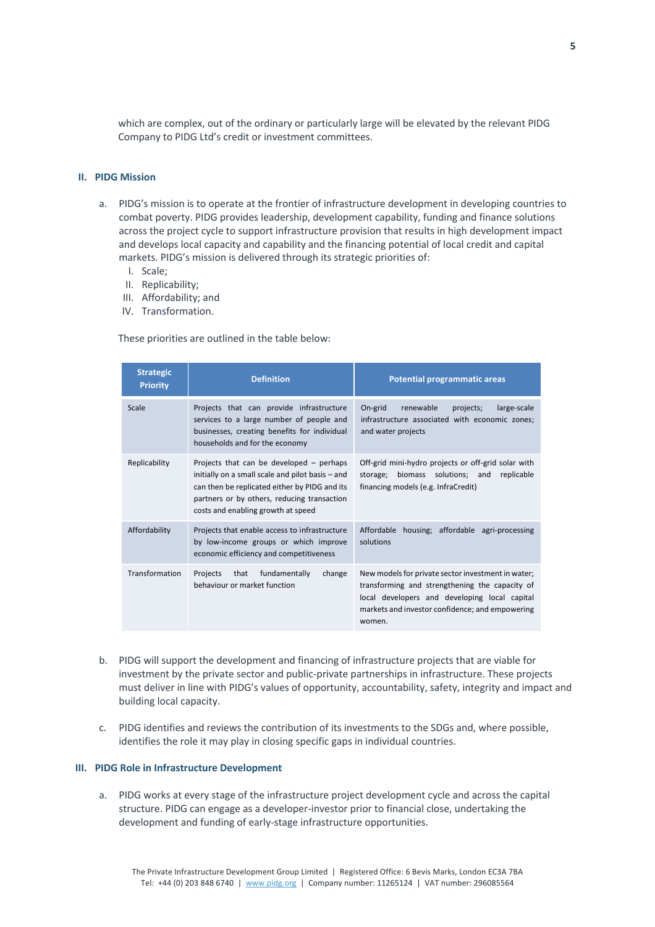which are complex, out of the ordinary or particularly large will be elevated by the relevant PIDG Company to PIDG Ltd's credit or investment committees.

#### **II. PIDG Mission**

- a. PIDG's mission is to operate at the frontier of infrastructure development in developing countries to combat poverty. PIDG provides leadership, development capability, funding and finance solutions across the project cycle to support infrastructure provision that results in high development impact and develops local capacity and capability and the financing potential of local credit and capital markets. PIDG's mission is delivered through its strategic priorities of:
	- I. Scale;
	- II. Replicability;
	- III. Affordability; and
	- IV. Transformation.

These priorities are outlined in the table below:

| <b>Strategic</b><br><b>Priority</b> | <b>Definition</b>                                                                                                                                                                                                                  | <b>Potential programmatic areas</b>                                                                                                                                                                                |
|-------------------------------------|------------------------------------------------------------------------------------------------------------------------------------------------------------------------------------------------------------------------------------|--------------------------------------------------------------------------------------------------------------------------------------------------------------------------------------------------------------------|
| Scale                               | Projects that can provide infrastructure<br>services to a large number of people and<br>businesses, creating benefits for individual<br>households and for the economy                                                             | On-grid<br>renewable<br>large-scale<br>projects;<br>infrastructure associated with economic zones;<br>and water projects                                                                                           |
| Replicability                       | Projects that can be developed - perhaps<br>initially on a small scale and pilot basis - and<br>can then be replicated either by PIDG and its<br>partners or by others, reducing transaction<br>costs and enabling growth at speed | Off-grid mini-hydro projects or off-grid solar with<br>biomass solutions: and<br>replicable<br>storage;<br>financing models (e.g. InfraCredit)                                                                     |
| Affordability                       | Projects that enable access to infrastructure<br>by low-income groups or which improve<br>economic efficiency and competitiveness                                                                                                  | Affordable housing; affordable agri-processing<br>solutions                                                                                                                                                        |
| Transformation                      | fundamentally<br>Projects<br>that<br>change<br>behaviour or market function                                                                                                                                                        | New models for private sector investment in water;<br>transforming and strengthening the capacity of<br>local developers and developing local capital<br>markets and investor confidence; and empowering<br>women. |

- b. PIDG will support the development and financing of infrastructure projects that are viable for investment by the private sector and public-private partnerships in infrastructure. These projects must deliver in line with PIDG's values of opportunity, accountability, safety, integrity and impact and building local capacity.
- c. PIDG identifies and reviews the contribution of its investments to the SDGs and, where possible, identifies the role it may play in closing specific gaps in individual countries.

#### **III. PIDG Role in Infrastructure Development**

a. PIDG works at every stage of the infrastructure project development cycle and across the capital structure. PIDG can engage as a developer-investor prior to financial close, undertaking the development and funding of early-stage infrastructure opportunities.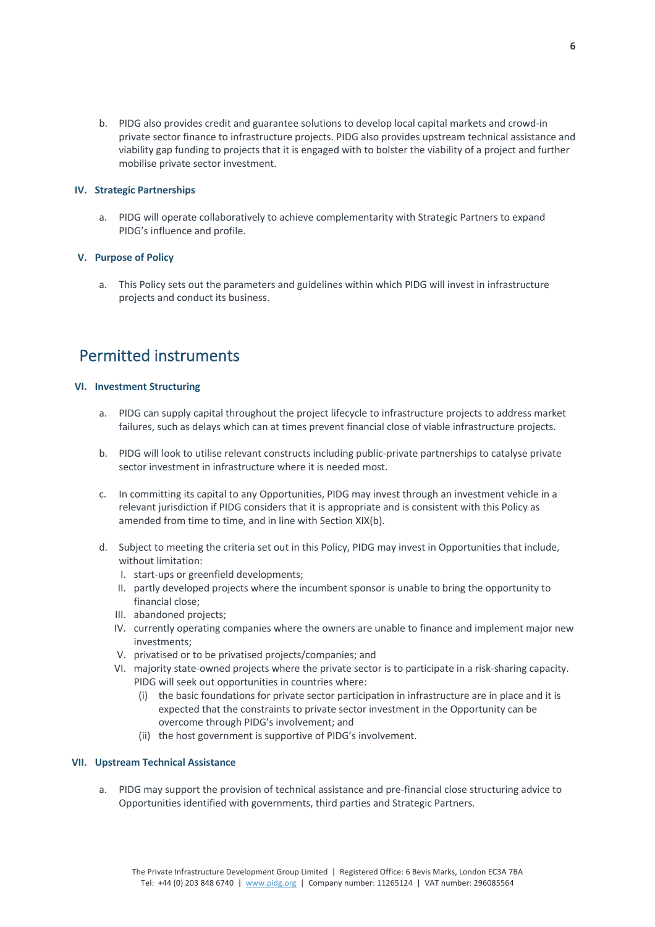b. PIDG also provides credit and guarantee solutions to develop local capital markets and crowd-in private sector finance to infrastructure projects. PIDG also provides upstream technical assistance and viability gap funding to projects that it is engaged with to bolster the viability of a project and further mobilise private sector investment.

#### **IV. Strategic Partnerships**

a. PIDG will operate collaboratively to achieve complementarity with Strategic Partners to expand PIDG's influence and profile.

#### **V. Purpose of Policy**

a. This Policy sets out the parameters and guidelines within which PIDG will invest in infrastructure projects and conduct its business.

## Permitted instruments

#### **VI. Investment Structuring**

- a. PIDG can supply capital throughout the project lifecycle to infrastructure projects to address market failures, such as delays which can at times prevent financial close of viable infrastructure projects.
- b. PIDG will look to utilise relevant constructs including public-private partnerships to catalyse private sector investment in infrastructure where it is needed most.
- c. In committing its capital to any Opportunities, PIDG may invest through an investment vehicle in a relevant jurisdiction if PIDG considers that it is appropriate and is consistent with this Policy as amended from time to time, and in line with Section XIX(b).
- d. Subject to meeting the criteria set out in this Policy, PIDG may invest in Opportunities that include, without limitation:
	- I. start-ups or greenfield developments;
	- II. partly developed projects where the incumbent sponsor is unable to bring the opportunity to financial close;
	- III. abandoned projects;
	- IV. currently operating companies where the owners are unable to finance and implement major new investments;
	- V. privatised or to be privatised projects/companies; and
	- VI. majority state-owned projects where the private sector is to participate in a risk-sharing capacity. PIDG will seek out opportunities in countries where:
		- (i) the basic foundations for private sector participation in infrastructure are in place and it is expected that the constraints to private sector investment in the Opportunity can be overcome through PIDG's involvement; and
		- (ii) the host government is supportive of PIDG's involvement.

#### **VII. Upstream Technical Assistance**

a. PIDG may support the provision of technical assistance and pre-financial close structuring advice to Opportunities identified with governments, third parties and Strategic Partners.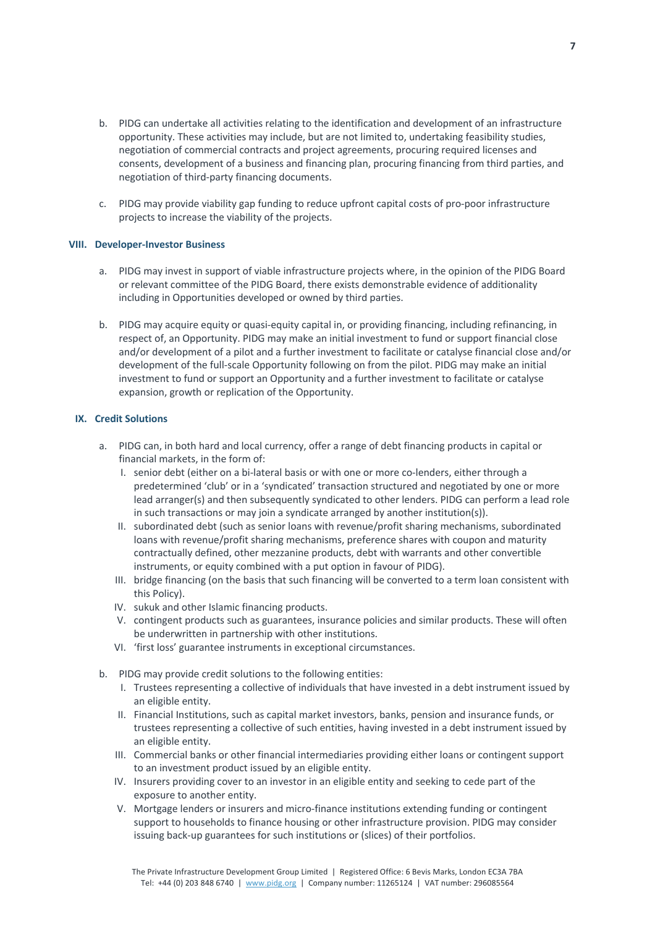- b. PIDG can undertake all activities relating to the identification and development of an infrastructure opportunity. These activities may include, but are not limited to, undertaking feasibility studies, negotiation of commercial contracts and project agreements, procuring required licenses and consents, development of a business and financing plan, procuring financing from third parties, and negotiation of third-party financing documents.
- c. PIDG may provide viability gap funding to reduce upfront capital costs of pro-poor infrastructure projects to increase the viability of the projects.

#### **VIII. Developer-Investor Business**

- a. PIDG may invest in support of viable infrastructure projects where, in the opinion of the PIDG Board or relevant committee of the PIDG Board, there exists demonstrable evidence of additionality including in Opportunities developed or owned by third parties.
- b. PIDG may acquire equity or quasi-equity capital in, or providing financing, including refinancing, in respect of, an Opportunity. PIDG may make an initial investment to fund or support financial close and/or development of a pilot and a further investment to facilitate or catalyse financial close and/or development of the full-scale Opportunity following on from the pilot. PIDG may make an initial investment to fund or support an Opportunity and a further investment to facilitate or catalyse expansion, growth or replication of the Opportunity.

#### **IX. Credit Solutions**

- a. PIDG can, in both hard and local currency, offer a range of debt financing products in capital or financial markets, in the form of:
	- I. senior debt (either on a bi-lateral basis or with one or more co-lenders, either through a predetermined 'club' or in a 'syndicated' transaction structured and negotiated by one or more lead arranger(s) and then subsequently syndicated to other lenders. PIDG can perform a lead role in such transactions or may join a syndicate arranged by another institution(s)).
	- II. subordinated debt (such as senior loans with revenue/profit sharing mechanisms, subordinated loans with revenue/profit sharing mechanisms, preference shares with coupon and maturity contractually defined, other mezzanine products, debt with warrants and other convertible instruments, or equity combined with a put option in favour of PIDG).
	- III. bridge financing (on the basis that such financing will be converted to a term loan consistent with this Policy).
	- IV. sukuk and other Islamic financing products.
	- V. contingent products such as guarantees, insurance policies and similar products. These will often be underwritten in partnership with other institutions.
	- VI. 'first loss' guarantee instruments in exceptional circumstances.
- b. PIDG may provide credit solutions to the following entities:
	- I. Trustees representing a collective of individuals that have invested in a debt instrument issued by an eligible entity.
	- II. Financial Institutions, such as capital market investors, banks, pension and insurance funds, or trustees representing a collective of such entities, having invested in a debt instrument issued by an eligible entity.
	- III. Commercial banks or other financial intermediaries providing either loans or contingent support to an investment product issued by an eligible entity.
	- IV. Insurers providing cover to an investor in an eligible entity and seeking to cede part of the exposure to another entity.
	- V. Mortgage lenders or insurers and micro-finance institutions extending funding or contingent support to households to finance housing or other infrastructure provision. PIDG may consider issuing back-up guarantees for such institutions or (slices) of their portfolios.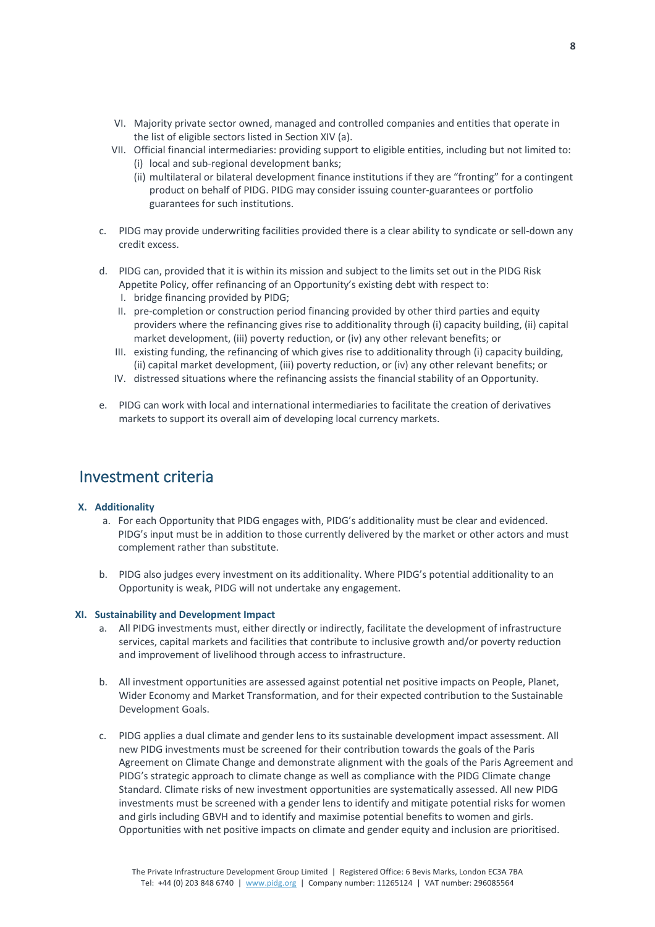- VI. Majority private sector owned, managed and controlled companies and entities that operate in the list of eligible sectors listed in Section XIV (a).
- VII. Official financial intermediaries: providing support to eligible entities, including but not limited to: (i) local and sub-regional development banks;
	- (ii) multilateral or bilateral development finance institutions if they are "fronting" for a contingent product on behalf of PIDG. PIDG may consider issuing counter-guarantees or portfolio guarantees for such institutions.
- c. PIDG may provide underwriting facilities provided there is a clear ability to syndicate or sell-down any credit excess.
- d. PIDG can, provided that it is within its mission and subject to the limits set out in the PIDG Risk Appetite Policy, offer refinancing of an Opportunity's existing debt with respect to:
	- I. bridge financing provided by PIDG;
	- II. pre-completion or construction period financing provided by other third parties and equity providers where the refinancing gives rise to additionality through (i) capacity building, (ii) capital market development, (iii) poverty reduction, or (iv) any other relevant benefits; or
	- III. existing funding, the refinancing of which gives rise to additionality through (i) capacity building, (ii) capital market development, (iii) poverty reduction, or (iv) any other relevant benefits; or
	- IV. distressed situations where the refinancing assists the financial stability of an Opportunity.
- e. PIDG can work with local and international intermediaries to facilitate the creation of derivatives markets to support its overall aim of developing local currency markets.

### Investment criteria

#### **X. Additionality**

- a. For each Opportunity that PIDG engages with, PIDG's additionality must be clear and evidenced. PIDG's input must be in addition to those currently delivered by the market or other actors and must complement rather than substitute.
- b. PIDG also judges every investment on its additionality. Where PIDG's potential additionality to an Opportunity is weak, PIDG will not undertake any engagement.

#### **XI. Sustainability and Development Impact**

- a. All PIDG investments must, either directly or indirectly, facilitate the development of infrastructure services, capital markets and facilities that contribute to inclusive growth and/or poverty reduction and improvement of livelihood through access to infrastructure.
- b. All investment opportunities are assessed against potential net positive impacts on People, Planet, Wider Economy and Market Transformation, and for their expected contribution to the Sustainable Development Goals.
- c. PIDG applies a dual climate and gender lens to its sustainable development impact assessment. All new PIDG investments must be screened for their contribution towards the goals of the Paris Agreement on Climate Change and demonstrate alignment with the goals of the Paris Agreement and PIDG's strategic approach to climate change as well as compliance with the PIDG Climate change Standard. Climate risks of new investment opportunities are systematically assessed. All new PIDG investments must be screened with a gender lens to identify and mitigate potential risks for women and girls including GBVH and to identify and maximise potential benefits to women and girls. Opportunities with net positive impacts on climate and gender equity and inclusion are prioritised.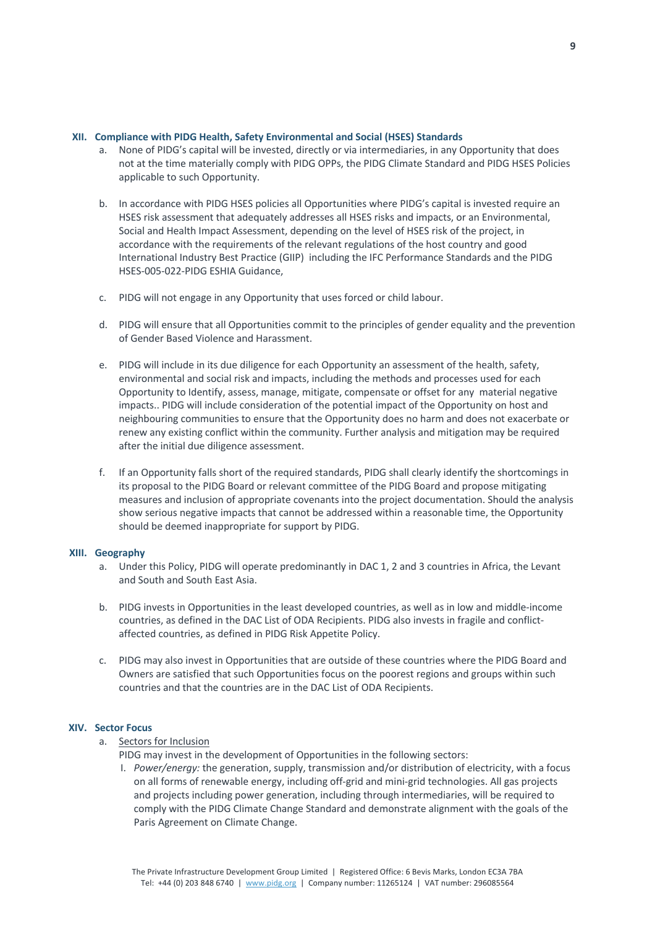#### **XII. Compliance with PIDG Health, Safety Environmental and Social (HSES) Standards**

- a. None of PIDG's capital will be invested, directly or via intermediaries, in any Opportunity that does not at the time materially comply with PIDG OPPs, the PIDG Climate Standard and PIDG HSES Policies applicable to such Opportunity.
- b. In accordance with PIDG HSES policies all Opportunities where PIDG's capital is invested require an HSES risk assessment that adequately addresses all HSES risks and impacts, or an Environmental, Social and Health Impact Assessment, depending on the level of HSES risk of the project, in accordance with the requirements of the relevant regulations of the host country and good International Industry Best Practice (GIIP) including the IFC Performance Standards and the PIDG HSES-005-022-PIDG ESHIA Guidance,
- c. PIDG will not engage in any Opportunity that uses forced or child labour.
- d. PIDG will ensure that all Opportunities commit to the principles of gender equality and the prevention of Gender Based Violence and Harassment.
- e. PIDG will include in its due diligence for each Opportunity an assessment of the health, safety, environmental and social risk and impacts, including the methods and processes used for each Opportunity to Identify, assess, manage, mitigate, compensate or offset for any material negative impacts.. PIDG will include consideration of the potential impact of the Opportunity on host and neighbouring communities to ensure that the Opportunity does no harm and does not exacerbate or renew any existing conflict within the community. Further analysis and mitigation may be required after the initial due diligence assessment.
- f. If an Opportunity falls short of the required standards, PIDG shall clearly identify the shortcomings in its proposal to the PIDG Board or relevant committee of the PIDG Board and propose mitigating measures and inclusion of appropriate covenants into the project documentation. Should the analysis show serious negative impacts that cannot be addressed within a reasonable time, the Opportunity should be deemed inappropriate for support by PIDG.

#### **XIII. Geography**

- a. Under this Policy, PIDG will operate predominantly in DAC 1, 2 and 3 countries in Africa, the Levant and South and South East Asia.
- b. PIDG invests in Opportunities in the least developed countries, as well as in low and middle-income countries, as defined in the DAC List of ODA Recipients. PIDG also invests in fragile and conflictaffected countries, as defined in PIDG Risk Appetite Policy.
- c. PIDG may also invest in Opportunities that are outside of these countries where the PIDG Board and Owners are satisfied that such Opportunities focus on the poorest regions and groups within such countries and that the countries are in the DAC List of ODA Recipients.

#### **XIV. Sector Focus**

#### a. Sectors for Inclusion

PIDG may invest in the development of Opportunities in the following sectors:

I. *Power/energy:* the generation, supply, transmission and/or distribution of electricity, with a focus on all forms of renewable energy, including off-grid and mini-grid technologies. All gas projects and projects including power generation, including through intermediaries, will be required to comply with the PIDG Climate Change Standard and demonstrate alignment with the goals of the Paris Agreement on Climate Change.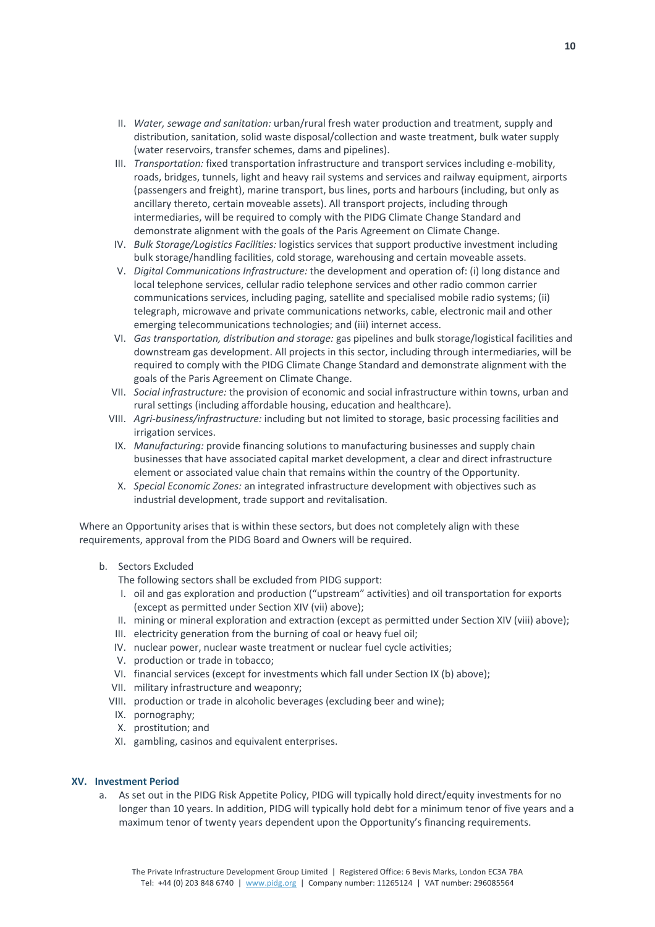- II. *Water, sewage and sanitation:* urban/rural fresh water production and treatment, supply and distribution, sanitation, solid waste disposal/collection and waste treatment, bulk water supply (water reservoirs, transfer schemes, dams and pipelines).
- III. *Transportation:* fixed transportation infrastructure and transport services including e-mobility, roads, bridges, tunnels, light and heavy rail systems and services and railway equipment, airports (passengers and freight), marine transport, bus lines, ports and harbours (including, but only as ancillary thereto, certain moveable assets). All transport projects, including through intermediaries, will be required to comply with the PIDG Climate Change Standard and demonstrate alignment with the goals of the Paris Agreement on Climate Change.
- IV. *Bulk Storage/Logistics Facilities:* logistics services that support productive investment including bulk storage/handling facilities, cold storage, warehousing and certain moveable assets.
- V. *Digital Communications Infrastructure:* the development and operation of: (i) long distance and local telephone services, cellular radio telephone services and other radio common carrier communications services, including paging, satellite and specialised mobile radio systems; (ii) telegraph, microwave and private communications networks, cable, electronic mail and other emerging telecommunications technologies; and (iii) internet access.
- VI. *Gas transportation, distribution and storage:* gas pipelines and bulk storage/logistical facilities and downstream gas development. All projects in this sector, including through intermediaries, will be required to comply with the PIDG Climate Change Standard and demonstrate alignment with the goals of the Paris Agreement on Climate Change.
- VII. *Social infrastructure:* the provision of economic and social infrastructure within towns, urban and rural settings (including affordable housing, education and healthcare).
- VIII. *Agri-business/infrastructure:* including but not limited to storage, basic processing facilities and irrigation services.
- IX. *Manufacturing:* provide financing solutions to manufacturing businesses and supply chain businesses that have associated capital market development, a clear and direct infrastructure element or associated value chain that remains within the country of the Opportunity.
- X. *Special Economic Zones:* an integrated infrastructure development with objectives such as industrial development, trade support and revitalisation.

Where an Opportunity arises that is within these sectors, but does not completely align with these requirements, approval from the PIDG Board and Owners will be required.

b. Sectors Excluded

The following sectors shall be excluded from PIDG support:

- I. oil and gas exploration and production ("upstream" activities) and oil transportation for exports (except as permitted under Section XIV (vii) above);
- II. mining or mineral exploration and extraction (except as permitted under Section XIV (viii) above);
- III. electricity generation from the burning of coal or heavy fuel oil;
- IV. nuclear power, nuclear waste treatment or nuclear fuel cycle activities;
- V. production or trade in tobacco;
- VI. financial services (except for investments which fall under Section IX (b) above);
- VII. military infrastructure and weaponry;
- VIII. production or trade in alcoholic beverages (excluding beer and wine);
- IX. pornography;
- X. prostitution; and
- XI. gambling, casinos and equivalent enterprises.

#### **XV. Investment Period**

a. As set out in the PIDG Risk Appetite Policy, PIDG will typically hold direct/equity investments for no longer than 10 years. In addition, PIDG will typically hold debt for a minimum tenor of five years and a maximum tenor of twenty years dependent upon the Opportunity's financing requirements.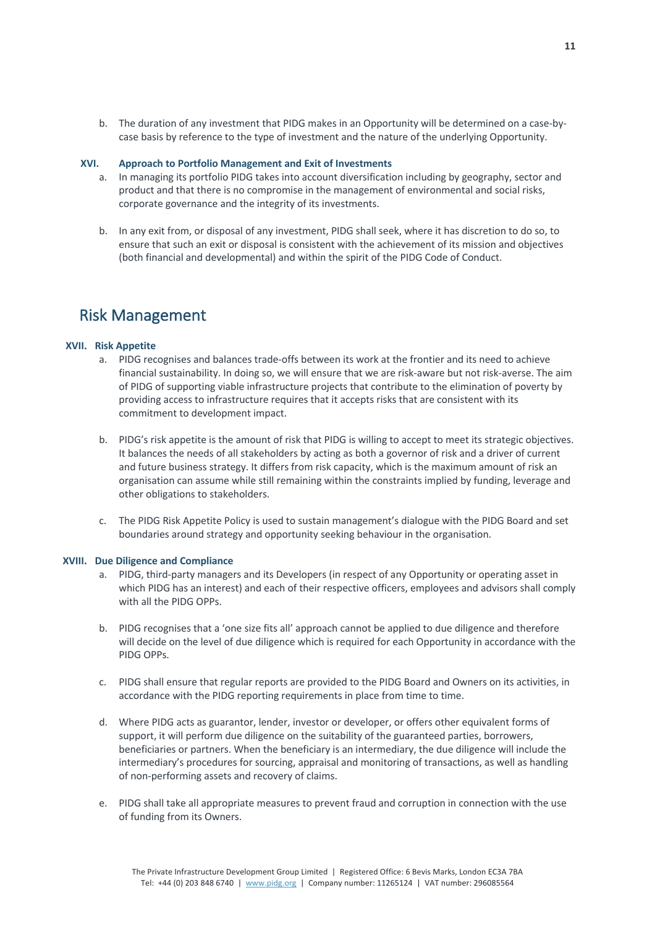b. The duration of any investment that PIDG makes in an Opportunity will be determined on a case-bycase basis by reference to the type of investment and the nature of the underlying Opportunity.

#### **XVI. Approach to Portfolio Management and Exit of Investments**

- a. In managing its portfolio PIDG takes into account diversification including by geography, sector and product and that there is no compromise in the management of environmental and social risks, corporate governance and the integrity of its investments.
- b. In any exit from, or disposal of any investment, PIDG shall seek, where it has discretion to do so, to ensure that such an exit or disposal is consistent with the achievement of its mission and objectives (both financial and developmental) and within the spirit of the PIDG Code of Conduct.

### Risk Management

#### **XVII. Risk Appetite**

- a. PIDG recognises and balances trade-offs between its work at the frontier and its need to achieve financial sustainability. In doing so, we will ensure that we are risk-aware but not risk-averse. The aim of PIDG of supporting viable infrastructure projects that contribute to the elimination of poverty by providing access to infrastructure requires that it accepts risks that are consistent with its commitment to development impact.
- b. PIDG's risk appetite is the amount of risk that PIDG is willing to accept to meet its strategic objectives. It balances the needs of all stakeholders by acting as both a governor of risk and a driver of current and future business strategy. It differs from risk capacity, which is the maximum amount of risk an organisation can assume while still remaining within the constraints implied by funding, leverage and other obligations to stakeholders.
- c. The PIDG Risk Appetite Policy is used to sustain management's dialogue with the PIDG Board and set boundaries around strategy and opportunity seeking behaviour in the organisation.

#### **XVIII. Due Diligence and Compliance**

- a. PIDG, third-party managers and its Developers (in respect of any Opportunity or operating asset in which PIDG has an interest) and each of their respective officers, employees and advisors shall comply with all the PIDG OPPs.
- b. PIDG recognises that a 'one size fits all' approach cannot be applied to due diligence and therefore will decide on the level of due diligence which is required for each Opportunity in accordance with the PIDG OPPs.
- c. PIDG shall ensure that regular reports are provided to the PIDG Board and Owners on its activities, in accordance with the PIDG reporting requirements in place from time to time.
- d. Where PIDG acts as guarantor, lender, investor or developer, or offers other equivalent forms of support, it will perform due diligence on the suitability of the guaranteed parties, borrowers, beneficiaries or partners. When the beneficiary is an intermediary, the due diligence will include the intermediary's procedures for sourcing, appraisal and monitoring of transactions, as well as handling of non-performing assets and recovery of claims.
- e. PIDG shall take all appropriate measures to prevent fraud and corruption in connection with the use of funding from its Owners.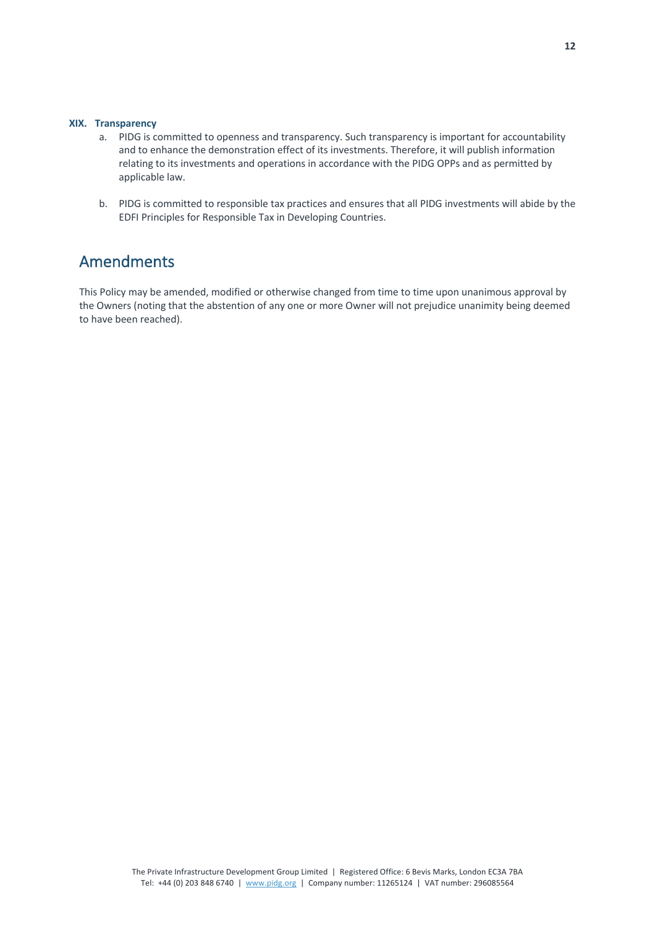#### **XIX. Transparency**

- a. PIDG is committed to openness and transparency. Such transparency is important for accountability and to enhance the demonstration effect of its investments. Therefore, it will publish information relating to its investments and operations in accordance with the PIDG OPPs and as permitted by applicable law.
- b. PIDG is committed to responsible tax practices and ensures that all PIDG investments will abide by the EDFI Principles for Responsible Tax in Developing Countries.

# Amendments

This Policy may be amended, modified or otherwise changed from time to time upon unanimous approval by the Owners (noting that the abstention of any one or more Owner will not prejudice unanimity being deemed to have been reached).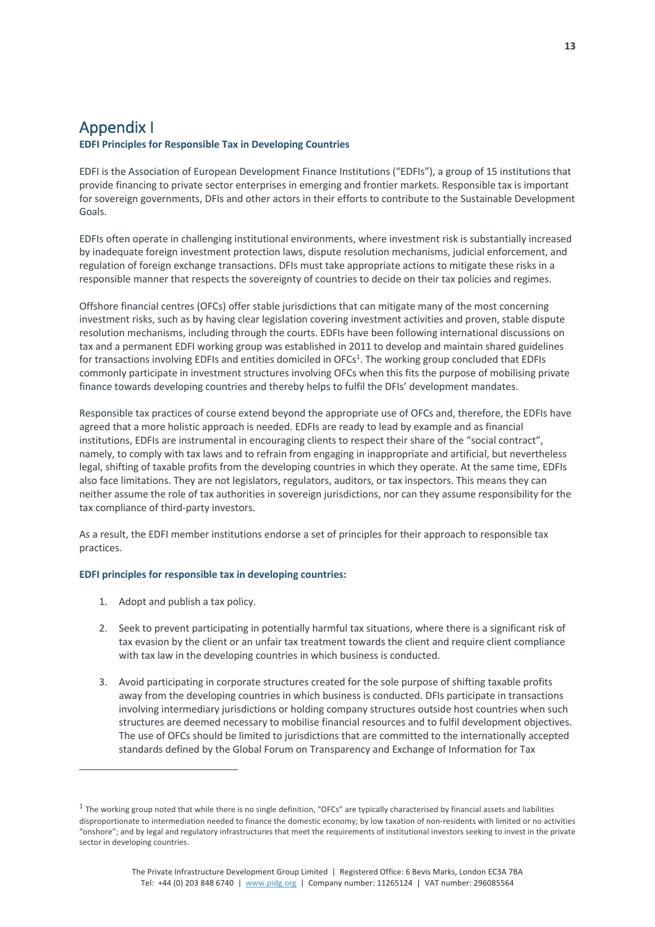### Appendix I

#### **EDFI Principles for Responsible Tax in Developing Countries**

EDFI is the Association of European Development Finance Institutions ("EDFIs"), a group of 15 institutions that provide financing to private sector enterprises in emerging and frontier markets. Responsible tax is important for sovereign governments, DFIs and other actors in their efforts to contribute to the Sustainable Development Goals.

EDFIs often operate in challenging institutional environments, where investment risk is substantially increased by inadequate foreign investment protection laws, dispute resolution mechanisms, judicial enforcement, and regulation of foreign exchange transactions. DFIs must take appropriate actions to mitigate these risks in a responsible manner that respects the sovereignty of countries to decide on their tax policies and regimes.

Offshore financial centres (OFCs) offer stable jurisdictions that can mitigate many of the most concerning investment risks, such as by having clear legislation covering investment activities and proven, stable dispute resolution mechanisms, including through the courts. EDFIs have been following international discussions on tax and a permanent EDFI working group was established in 2011 to develop and maintain shared guidelines for transactions involving EDFIs and entities domiciled in OFCs<sup>1</sup>. The working group concluded that EDFIs commonly participate in investment structures involving OFCs when this fits the purpose of mobilising private finance towards developing countries and thereby helps to fulfil the DFIs' development mandates.

Responsible tax practices of course extend beyond the appropriate use of OFCs and, therefore, the EDFIs have agreed that a more holistic approach is needed. EDFIs are ready to lead by example and as financial institutions, EDFIs are instrumental in encouraging clients to respect their share of the "social contract", namely, to comply with tax laws and to refrain from engaging in inappropriate and artificial, but nevertheless legal, shifting of taxable profits from the developing countries in which they operate. At the same time, EDFIs also face limitations. They are not legislators, regulators, auditors, or tax inspectors. This means they can neither assume the role of tax authorities in sovereign jurisdictions, nor can they assume responsibility for the tax compliance of third-party investors.

As a result, the EDFI member institutions endorse a set of principles for their approach to responsible tax practices.

#### **EDFI principles for responsible tax in developing countries:**

- 1. Adopt and publish a tax policy.
- 2. Seek to prevent participating in potentially harmful tax situations, where there is a significant risk of tax evasion by the client or an unfair tax treatment towards the client and require client compliance with tax law in the developing countries in which business is conducted.
- 3. Avoid participating in corporate structures created for the sole purpose of shifting taxable profits away from the developing countries in which business is conducted. DFIs participate in transactions involving intermediary jurisdictions or holding company structures outside host countries when such structures are deemed necessary to mobilise financial resources and to fulfil development objectives. The use of OFCs should be limited to jurisdictions that are committed to the internationally accepted standards defined by the Global Forum on Transparency and Exchange of Information for Tax

 $1$  The working group noted that while there is no single definition, "OFCs" are typically characterised by financial assets and liabilities disproportionate to intermediation needed to finance the domestic economy; by low taxation of non-residents with limited or no activities "onshore"; and by legal and regulatory infrastructures that meet the requirements of institutional investors seeking to invest in the private sector in developing countries.